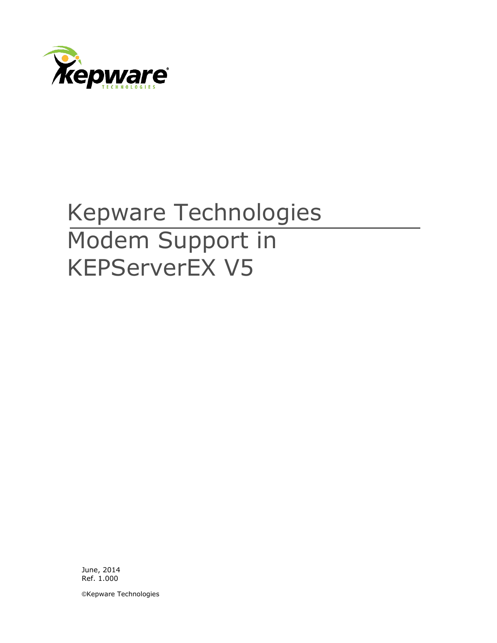

# Kepware Technologies Modem Support in KEPServerEX V5

June, 2014 Ref. 1.000

©Kepware Technologies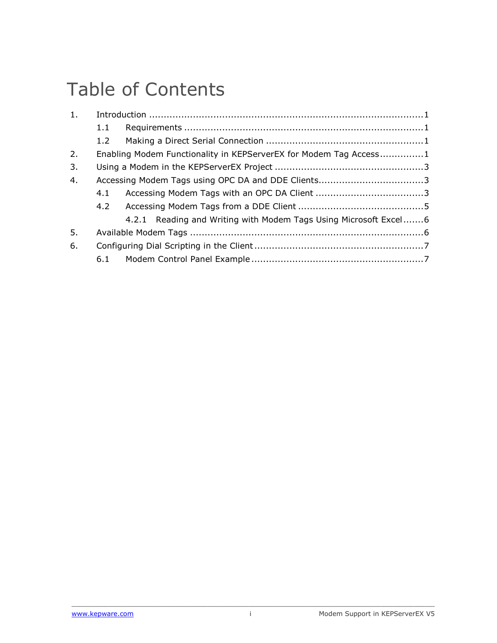## Table of Contents

| 1. |                  |                                                                   |  |
|----|------------------|-------------------------------------------------------------------|--|
|    | 1.1              |                                                                   |  |
|    | 1.2 <sub>1</sub> |                                                                   |  |
| 2. |                  | Enabling Modem Functionality in KEPServerEX for Modem Tag Access1 |  |
| 3. |                  |                                                                   |  |
| 4. |                  |                                                                   |  |
|    | 4.1              |                                                                   |  |
|    |                  |                                                                   |  |
|    |                  | 4.2.1 Reading and Writing with Modem Tags Using Microsoft Excel6  |  |
| 5. |                  |                                                                   |  |
| 6. |                  |                                                                   |  |
|    |                  |                                                                   |  |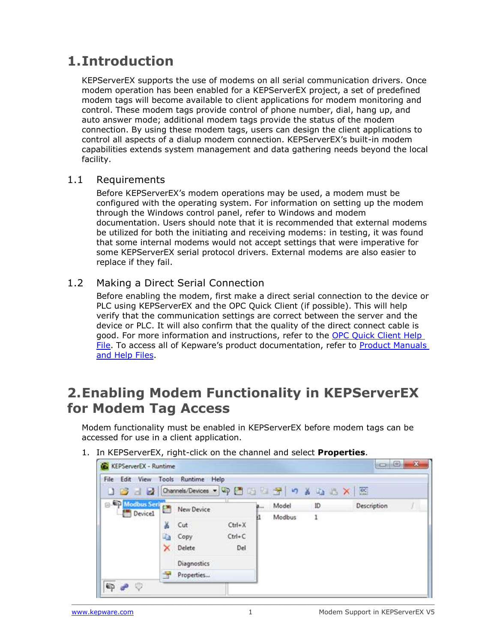## <span id="page-2-0"></span>**1.Introduction**

KEPServerEX supports the use of modems on all serial communication drivers. Once modem operation has been enabled for a KEPServerEX project, a set of predefined modem tags will become available to client applications for modem monitoring and control. These modem tags provide control of phone number, dial, hang up, and auto answer mode; additional modem tags provide the status of the modem connection. By using these modem tags, users can design the client applications to control all aspects of a dialup modem connection. KEPServerEX's built-in modem capabilities extends system management and data gathering needs beyond the local facility.

#### <span id="page-2-1"></span>1.1 Requirements

Before KEPServerEX's modem operations may be used, a modem must be configured with the operating system. For information on setting up the modem through the Windows control panel, refer to Windows and modem documentation. Users should note that it is recommended that external modems be utilized for both the initiating and receiving modems: in testing, it was found that some internal modems would not accept settings that were imperative for some KEPServerEX serial protocol drivers. External modems are also easier to replace if they fail.

#### <span id="page-2-2"></span>1.2 Making a Direct Serial Connection

Before enabling the modem, first make a direct serial connection to the device or PLC using KEPServerEX and the OPC Quick Client (if possible). This will help verify that the communication settings are correct between the server and the device or PLC. It will also confirm that the quality of the direct connect cable is good. For more information and instructions, refer to the [OPC Quick Client Help](http://www.kepware.com/Support_Center/SupportDocuments/Help/opcquickclient.pdf)  [File](http://www.kepware.com/Support_Center/SupportDocuments/Help/opcquickclient.pdf). To access all of Kepware's product documentation, refer to [Product Manuals](http://www.kepware.com/Support_Center/helpfiles.asp)  [and Help Files.](http://www.kepware.com/Support_Center/helpfiles.asp)

#### <span id="page-2-3"></span>**2.Enabling Modem Functionality in KEPServerEX for Modem Tag Access**

Modem functionality must be enabled in KEPServerEX before modem tags can be accessed for use in a client application.



1. In KEPServerEX, right-click on the channel and select **Properties**.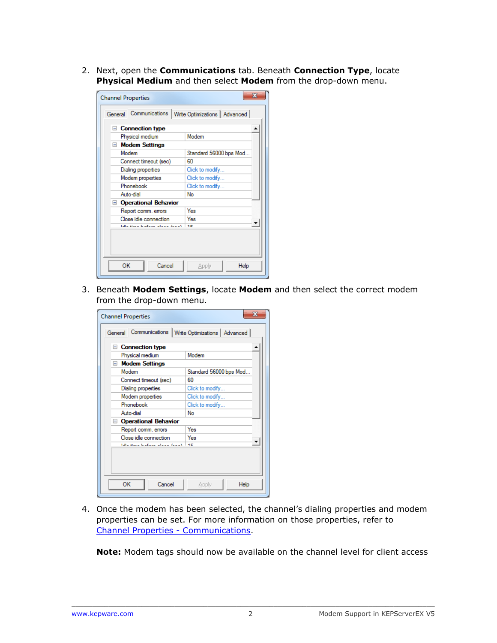2. Next, open the **Communications** tab. Beneath **Connection Type**, locate **Physical Medium** and then select **Modem** from the drop-down menu.

| $\equiv$                          | <b>Connection type</b> |                        |  |  |
|-----------------------------------|------------------------|------------------------|--|--|
|                                   | Physical medium        | Modem                  |  |  |
| $\Box$ Modem Settings<br>Modem    |                        | Standard 56000 bps Mod |  |  |
|                                   | Connect timeout (sec)  | 60                     |  |  |
|                                   | Dialing properties     | Click to modify        |  |  |
|                                   | Modem properties       | Click to modify        |  |  |
|                                   | Phonebook              | Click to modify        |  |  |
|                                   | Auto-dial              | No                     |  |  |
|                                   | □ Operational Behavior |                        |  |  |
|                                   | Report comm, errors    | Yes                    |  |  |
|                                   | Close idle connection  | Yes                    |  |  |
| لاستمار سيساس سيستقص السينة سالدا |                        | <b>H.C.</b>            |  |  |

3. Beneath **Modem Settings**, locate **Modem** and then select the correct modem from the drop-down menu.

| <b>Channel Properties</b>                                       | x                      |  |  |  |  |  |  |
|-----------------------------------------------------------------|------------------------|--|--|--|--|--|--|
| Communications<br>  Write Optimizations   Advanced  <br>General |                        |  |  |  |  |  |  |
| F<br><b>Connection type</b>                                     |                        |  |  |  |  |  |  |
| Physical medium                                                 | Modem                  |  |  |  |  |  |  |
| □ Modem Settings                                                |                        |  |  |  |  |  |  |
| Modem                                                           | Standard 56000 bps Mod |  |  |  |  |  |  |
| Connect timeout (sec)                                           | 60                     |  |  |  |  |  |  |
| Dialing properties                                              | Click to modify        |  |  |  |  |  |  |
| Modem properties                                                | Click to modify        |  |  |  |  |  |  |
| Phonebook                                                       | Click to modify        |  |  |  |  |  |  |
| Auto-dial                                                       | No                     |  |  |  |  |  |  |
| Operational Behavior                                            |                        |  |  |  |  |  |  |
| Report comm. errors                                             | Yes                    |  |  |  |  |  |  |
| Close idle connection                                           | Yes                    |  |  |  |  |  |  |
| falls above the first alleged from Y                            | ŦЕ                     |  |  |  |  |  |  |
|                                                                 |                        |  |  |  |  |  |  |
| OK<br>Cancel                                                    | Apply<br>Help          |  |  |  |  |  |  |

4. Once the modem has been selected, the channel's dialing properties and modem properties can be set. For more information on those properties, refer to [Channel Properties -](http://www.kepware.com/Support_Center/SupportDocuments/Help/servermain.pdf#page=48) Communication[s.](http://www.kepware.com/Support_Center/SupportDocuments/Help/servermain.pdf#page=48)

**Note:** Modem tags should now be available on the channel level for client access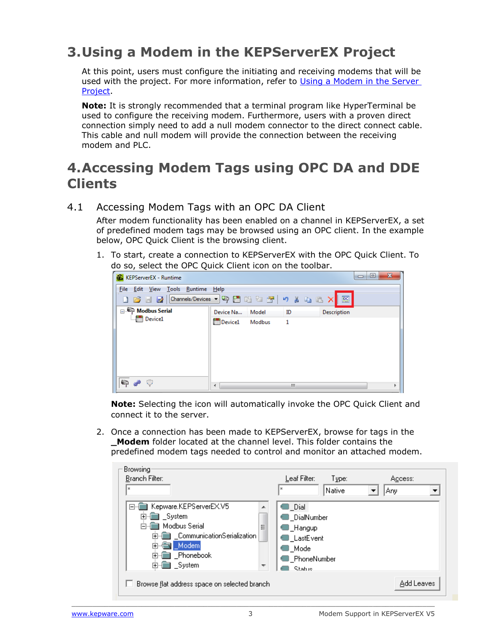## <span id="page-4-0"></span>**3.Using a Modem in the KEPServerEX Project**

At this point, users must configure the initiating and receiving modems that will be used with the project. For more information, refer to [Using a Modem in the Server](http://www.kepware.com/Support_Center/SupportDocuments/Help/servermain.pdf#page=103)  [Project.](http://www.kepware.com/Support_Center/SupportDocuments/Help/servermain.pdf#page=103)

**Note:** It is strongly recommended that a terminal program like HyperTerminal be used to configure the receiving modem. Furthermore, users with a proven direct connection simply need to add a null modem connector to the direct connect cable. This cable and null modem will provide the connection between the receiving modem and PLC.

#### <span id="page-4-1"></span>**4.Accessing Modem Tags using OPC DA and DDE Clients**

#### <span id="page-4-2"></span>4.1 Accessing Modem Tags with an OPC DA Client

After modem functionality has been enabled on a channel in KEPServerEX, a set of predefined modem tags may be browsed using an OPC client. In the example below, OPC Quick Client is the browsing client.

1. To start, create a connection to KEPServerEX with the OPC Quick Client. To do so, select the OPC Quick Client icon on the toolbar.



**Note:** Selecting the icon will automatically invoke the OPC Quick Client and connect it to the server.

2. Once a connection has been made to KEPServerEX, browse for tags in the **\_Modem** folder located at the channel level. This folder contains the predefined modem tags needed to control and monitor an attached modem.

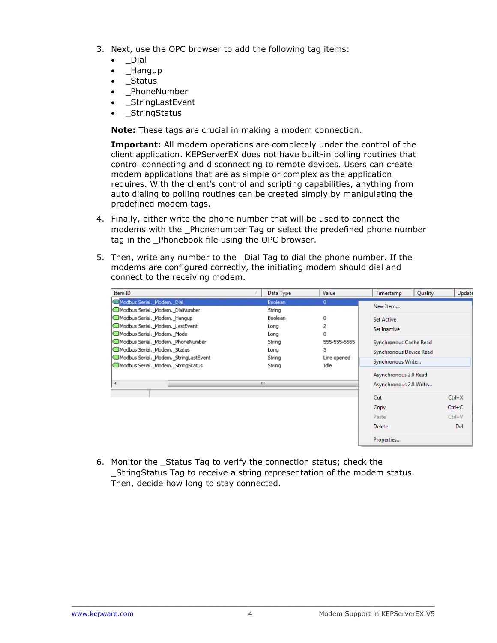- 3. Next, use the OPC browser to add the following tag items:
	- \_Dial
	- \_Hangup
	- \_Status
	- \_PhoneNumber
	- \_StringLastEvent
	- **StringStatus**

**Note:** These tags are crucial in making a modem connection.

**Important:** All modem operations are completely under the control of the client application. KEPServerEX does not have built-in polling routines that control connecting and disconnecting to remote devices. Users can create modem applications that are as simple or complex as the application requires. With the client's control and scripting capabilities, anything from auto dialing to polling routines can be created simply by manipulating the predefined modem tags.

- 4. Finally, either write the phone number that will be used to connect the modems with the \_Phonenumber Tag or select the predefined phone number tag in the Phonebook file using the OPC browser.
- 5. Then, write any number to the \_Dial Tag to dial the phone number. If the modems are configured correctly, the initiating modem should dial and connect to the receiving modem.

| Item ID                               | Data Type | Value        | Timestamp               | Quality | <b>Update</b> |
|---------------------------------------|-----------|--------------|-------------------------|---------|---------------|
| Modbus Serial. _Modem. _Dial          | Boolean   | 0            | New Item                |         |               |
| Modbus Serial. Modem. DialNumber      | String    |              |                         |         |               |
| Modbus Serial. Modem. Hangup          | Boolean   | 0            | <b>Set Active</b>       |         |               |
| Modbus Serial. Modem. LastEvent       | Long      | 2            | Set Inactive            |         |               |
| Modbus Serial. Modem. Mode            | Long      | 0            |                         |         |               |
| Modbus Serial. Modem. PhoneNumber     | String    | 555-555-5555 | Synchronous Cache Read  |         |               |
| Modbus Serial. Modem. Status          | Long      | 3            | Synchronous Device Read |         |               |
| Modbus Serial. Modem. StringLastEvent | String    | Line opened  | Synchronous Write       |         |               |
| Modbus Serial. Modem. StringStatus    | String    | Idle         |                         |         |               |
|                                       |           |              | Asynchronous 2.0 Read   |         |               |
| ∢                                     | m.        |              | Asynchronous 2.0 Write  |         |               |
|                                       |           |              | Cut                     |         | $Ctrl+X$      |
|                                       |           |              | Copy                    |         | $Ctrl + C$    |
|                                       |           |              | Paste                   |         | $Ctrl + V$    |
|                                       |           |              | <b>Delete</b>           |         | Del           |
|                                       |           |              | Properties              |         |               |

6. Monitor the \_Status Tag to verify the connection status; check the \_StringStatus Tag to receive a string representation of the modem status. Then, decide how long to stay connected.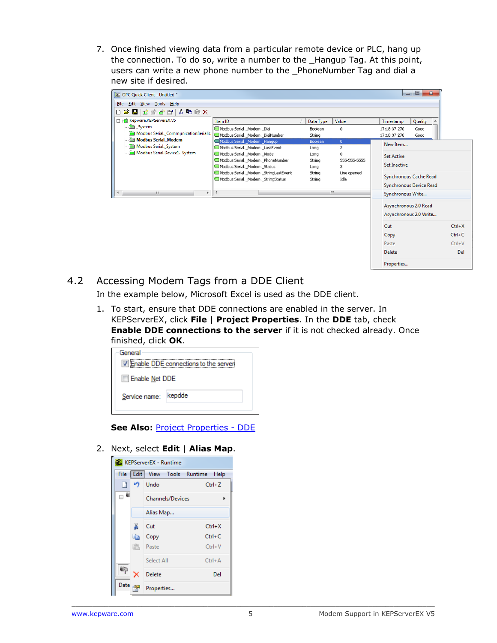7. Once finished viewing data from a particular remote device or PLC, hang up the connection. To do so, write a number to the \_Hangup Tag. At this point, users can write a new phone number to the \_PhoneNumber Tag and dial a new site if desired.

| <b>OC OPC Quick Client - Untitled *</b>        |                                                                                                     |                        |                                | $\mathbf{X}$<br>o,<br>$\qquad \qquad \Box$               |                        |
|------------------------------------------------|-----------------------------------------------------------------------------------------------------|------------------------|--------------------------------|----------------------------------------------------------|------------------------|
| File Edit View Tools Help                      |                                                                                                     |                        |                                |                                                          |                        |
| D 序 H   高味早早  * 申信×                            |                                                                                                     |                        |                                |                                                          |                        |
| E-tal Kepware.KEPServerEX.V5                   | Item ID                                                                                             | Data Type              | Value                          | Quality<br>Timestamp<br>▲                                |                        |
| System<br>Modbus Serial._CommunicationSerializ | Modbus Serial._Modem._Dial<br>Modbus Serial._Modem._DialNumber                                      | Boolean<br>String      | 0                              | 17:18:37.270<br>Good<br>17:18:37.270<br>Good             |                        |
| Modbus Serial. Modem<br>Modbus Serial. System  | Modbus Serial. Modem. Hangup<br>Modbus Serial. Modem. LastEvent                                     | <b>Boolean</b><br>Long | $\mathbf{0}$<br>$\overline{c}$ | New Item                                                 |                        |
| Modbus Serial.Device1._System                  | Modbus Serial, Modem, Mode<br>Modbus Serial. Modem. PhoneNumber<br>Modbus Serial. _ Modem. _ Status | Long<br>String<br>Long | o<br>555-555-5555<br>3         | <b>Set Active</b><br><b>Set Inactive</b>                 |                        |
|                                                | Modbus Serial. Modem. StringLastEvent<br>Modbus Serial. Modem. StringStatus                         | String<br>String       | Line opened<br>Idle            | Synchronous Cache Read<br><b>Synchronous Device Read</b> |                        |
| m.<br>$\overline{a}$<br>Þ.                     | $\blacktriangleleft$                                                                                |                        | m.                             | Synchronous Write                                        |                        |
|                                                |                                                                                                     |                        |                                | Asynchronous 2.0 Read<br>Asynchronous 2.0 Write          |                        |
|                                                |                                                                                                     |                        |                                | Cut<br>Copy                                              | $Ctrl+X$<br>$Ctrl + C$ |

<span id="page-6-0"></span>4.2 Accessing Modem Tags from a DDE Client

In the example below, Microsoft Excel is used as the DDE client.

1. To start, ensure that DDE connections are enabled in the server. In KEPServerEX, click **File** | **Project Properties**. In the **DDE** tab, check **Enable DDE connections to the server** if it is not checked already. Once finished, click **OK**.

| General               | I Enable DDE connections to the server |  |  |  |  |
|-----------------------|----------------------------------------|--|--|--|--|
| <b>Enable Net DDE</b> |                                        |  |  |  |  |
| Service name: kepdde  |                                        |  |  |  |  |
|                       |                                        |  |  |  |  |

**See Also: [Project Properties -](http://www.kepware.com/Support_Center/SupportDocuments/Help/servermain.pdf#page=36) DDE** 

2. Next, select **Edit** | **Alias Map**.

| <b>KEPServerEX</b> - Runtime |     |                           |            |  |  |  |
|------------------------------|-----|---------------------------|------------|--|--|--|
| File                         |     | Edit   View Tools Runtime | Help       |  |  |  |
|                              |     | $\Box$ Undo               | $Ctrl + Z$ |  |  |  |
| ⊟∙€                          |     | Channels/Devices          | ь          |  |  |  |
|                              |     | Alias Map                 |            |  |  |  |
|                              | ¥.  | Cut                       | $Ctrl+X$   |  |  |  |
|                              | eb. | Copy                      | $Ctrl + C$ |  |  |  |
|                              |     | <b>B</b> Paste            | $Ctrl + V$ |  |  |  |
|                              |     | Select All                | $Ctrl + A$ |  |  |  |
| ¢,                           |     | <b>Delete</b>             | Del        |  |  |  |
| Date <sub>199</sub>          |     | Properties                |            |  |  |  |

Paste

**Delete** 

Properties...

 $Ctrl + V$ 

Del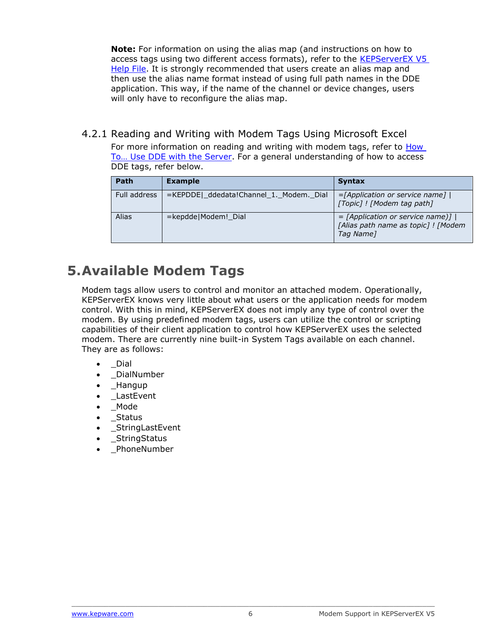**Note:** For information on using the alias map (and instructions on how to access tags using two different access formats), refer to the [KEPServerEX V5](http://www.kepware.com/Support_Center/SupportDocuments/Help/servermain.pdf)  [Help File.](http://www.kepware.com/Support_Center/SupportDocuments/Help/servermain.pdf) It is strongly recommended that users create an alias map and then use the alias name format instead of using full path names in the DDE application. This way, if the name of the channel or device changes, users will only have to reconfigure the alias map.

<span id="page-7-0"></span>4.2.1 Reading and Writing with Modem Tags Using Microsoft Excel

For more information on reading and writing with modem tags, refer to [How](http://www.kepware.com/Support_Center/SupportDocuments/Help/servermain.pdf#page=159)  [To… Use DDE with the Server](http://www.kepware.com/Support_Center/SupportDocuments/Help/servermain.pdf#page=159). For a general understanding of how to access DDE tags, refer below.

| Path         | <b>Example</b>                          | <b>Syntax</b>                                                                            |
|--------------|-----------------------------------------|------------------------------------------------------------------------------------------|
| Full address | =KEPDDE _ddedata!Channel_1._Modem._Dial | $=$ [Application or service name] $ $<br>[Topic] ! [Modem tag path]                      |
| Alias        | =kepdde Modem! Dial                     | $=$ [Application or service name)]  <br>[Alias path name as topic] ! [Modem<br>Tag Name] |

## <span id="page-7-1"></span>**5.Available Modem Tags**

Modem tags allow users to control and monitor an attached modem. Operationally, KEPServerEX knows very little about what users or the application needs for modem control. With this in mind, KEPServerEX does not imply any type of control over the modem. By using predefined modem tags, users can utilize the control or scripting capabilities of their client application to control how KEPServerEX uses the selected modem. There are currently nine built-in System Tags available on each channel. They are as follows:

- \_Dial
- \_DialNumber
- \_Hangup
- \_LastEvent
- \_Mode
- \_Status
- \_StringLastEvent
- **StringStatus**
- \_PhoneNumber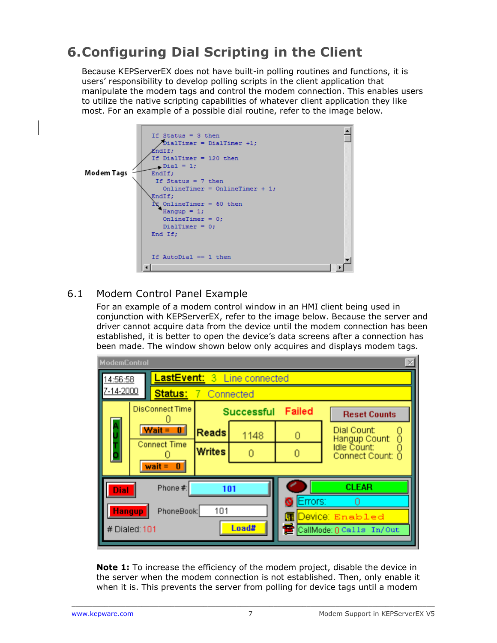## <span id="page-8-0"></span>**6.Configuring Dial Scripting in the Client**

Because KEPServerEX does not have built-in polling routines and functions, it is users' responsibility to develop polling scripts in the client application that manipulate the modem tags and control the modem connection. This enables users to utilize the native scripting capabilities of whatever client application they like most. For an example of a possible dial routine, refer to the image below.



#### <span id="page-8-1"></span>6.1 Modem Control Panel Example

For an example of a modem control window in an HMI client being used in conjunction with KEPServerEX, refer to the image below. Because the server and driver cannot acquire data from the device until the modem connection has been established, it is better to open the device's data screens after a connection has been made. The window shown below only acquires and displays modem tags.

| <b>ModemControl</b>                            |                                           |                             |      |                     |                                   |  |  |
|------------------------------------------------|-------------------------------------------|-----------------------------|------|---------------------|-----------------------------------|--|--|
| <b>LastEvent: 3 Line connected</b><br>14:56:58 |                                           |                             |      |                     |                                   |  |  |
| 7-14-2000<br>Status:<br>7 Connected            |                                           |                             |      |                     |                                   |  |  |
| <b>DisConnect Time</b>                         |                                           | Failed<br><b>Successful</b> |      | <b>Reset Counts</b> |                                   |  |  |
|                                                | $Wait =$<br>$\mathbf{0}$                  | <b>Reads</b>                | 1148 | 0                   | Dial Count:<br>Ō<br>Hangup Count: |  |  |
|                                                | <b>Connect Time</b>                       | <b>Writes</b>               |      | 0                   | Idle Count:<br>Connect Count: 0   |  |  |
|                                                | $wait =$<br>$\vert \hspace{-.06in} \vert$ |                             |      |                     |                                   |  |  |
| Dial                                           | Phone #:                                  | <b>CLEAR</b>                |      |                     |                                   |  |  |
| Errors:<br><b>Hangup</b><br>101<br>PhoneBook:  |                                           |                             |      |                     |                                   |  |  |
| mι<br>Load#                                    |                                           |                             |      |                     | Device: Enabled                   |  |  |
|                                                | # Dialed: 101                             |                             |      |                     | CallMode 0 Calls In/Out           |  |  |

**Note 1:** To increase the efficiency of the modem project, disable the device in the server when the modem connection is not established. Then, only enable it when it is. This prevents the server from polling for device tags until a modem